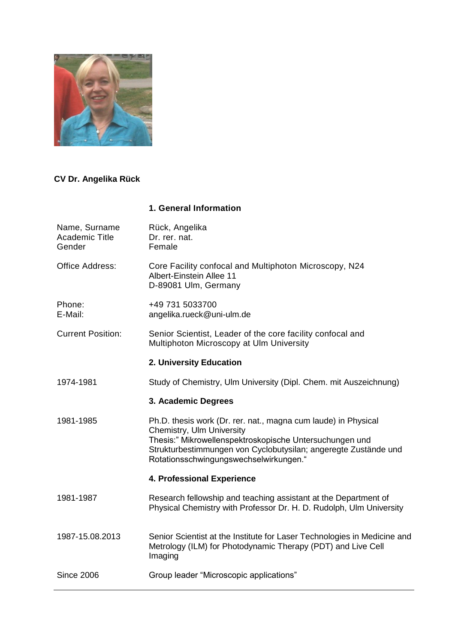

# **CV Dr. Angelika Rück**

## **1. General Information**

| Female                                                                                                                                                                                                                                                              |
|---------------------------------------------------------------------------------------------------------------------------------------------------------------------------------------------------------------------------------------------------------------------|
| Core Facility confocal and Multiphoton Microscopy, N24<br>Albert-Einstein Allee 11<br>D-89081 Ulm, Germany                                                                                                                                                          |
| +49 731 5033700<br>angelika.rueck@uni-ulm.de                                                                                                                                                                                                                        |
| Senior Scientist, Leader of the core facility confocal and<br>Multiphoton Microscopy at Ulm University                                                                                                                                                              |
| 2. University Education                                                                                                                                                                                                                                             |
| Study of Chemistry, Ulm University (Dipl. Chem. mit Auszeichnung)                                                                                                                                                                                                   |
| 3. Academic Degrees                                                                                                                                                                                                                                                 |
| Ph.D. thesis work (Dr. rer. nat., magna cum laude) in Physical<br>Chemistry, Ulm University<br>Thesis:" Mikrowellenspektroskopische Untersuchungen und<br>Strukturbestimmungen von Cyclobutysilan; angeregte Zustände und<br>Rotationsschwingungswechselwirkungen." |
| 4. Professional Experience                                                                                                                                                                                                                                          |
| Research fellowship and teaching assistant at the Department of<br>Physical Chemistry with Professor Dr. H. D. Rudolph, Ulm University                                                                                                                              |
| Senior Scientist at the Institute for Laser Technologies in Medicine and<br>Metrology (ILM) for Photodynamic Therapy (PDT) and Live Cell<br>Imaging                                                                                                                 |
| Group leader "Microscopic applications"                                                                                                                                                                                                                             |
|                                                                                                                                                                                                                                                                     |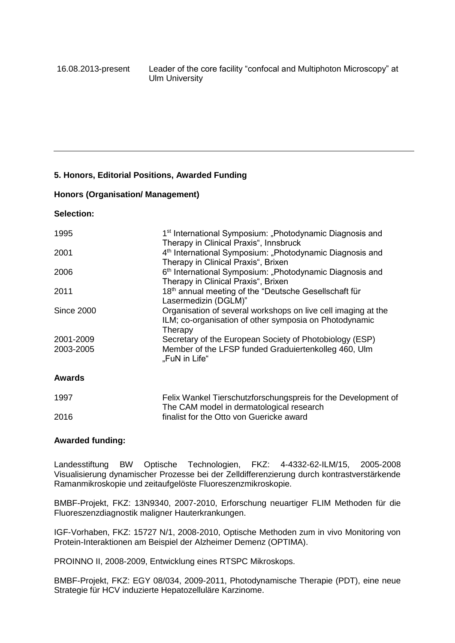### **5. Honors, Editorial Positions, Awarded Funding**

#### **Honors (Organisation/ Management)**

### **Selection:**

| 1995              | 1 <sup>st</sup> International Symposium: "Photodynamic Diagnosis and<br>Therapy in Clinical Praxis", Innsbruck                     |
|-------------------|------------------------------------------------------------------------------------------------------------------------------------|
| 2001              | 4 <sup>th</sup> International Symposium: "Photodynamic Diagnosis and<br>Therapy in Clinical Praxis", Brixen                        |
| 2006              | 6 <sup>th</sup> International Symposium: "Photodynamic Diagnosis and<br>Therapy in Clinical Praxis", Brixen                        |
| 2011              | 18th annual meeting of the "Deutsche Gesellschaft für<br>Lasermedizin (DGLM)"                                                      |
| <b>Since 2000</b> | Organisation of several workshops on live cell imaging at the<br>ILM; co-organisation of other symposia on Photodynamic<br>Therapy |
| 2001-2009         | Secretary of the European Society of Photobiology (ESP)                                                                            |
| 2003-2005         | Member of the LFSP funded Graduiertenkolleg 460, Ulm<br>"FuN in Life"                                                              |
|                   |                                                                                                                                    |

### **Awards**

| 1997 | Felix Wankel Tierschutzforschungspreis for the Development of |
|------|---------------------------------------------------------------|
|      | The CAM model in dermatological research                      |
| 2016 | finalist for the Otto von Guericke award                      |

#### **Awarded funding:**

Landesstiftung BW Optische Technologien, FKZ: 4-4332-62-ILM/15, 2005-2008 Visualisierung dynamischer Prozesse bei der Zelldifferenzierung durch kontrastverstärkende Ramanmikroskopie und zeitaufgelöste Fluoreszenzmikroskopie.

BMBF-Projekt, FKZ: 13N9340, 2007-2010, Erforschung neuartiger FLIM Methoden für die Fluoreszenzdiagnostik maligner Hauterkrankungen.

IGF-Vorhaben, FKZ: 15727 N/1, 2008-2010, Optische Methoden zum in vivo Monitoring von Protein-Interaktionen am Beispiel der Alzheimer Demenz (OPTIMA).

PROINNO II, 2008-2009, Entwicklung eines RTSPC Mikroskops.

BMBF-Projekt, FKZ: EGY 08/034, 2009-2011, Photodynamische Therapie (PDT), eine neue Strategie für HCV induzierte Hepatozelluläre Karzinome.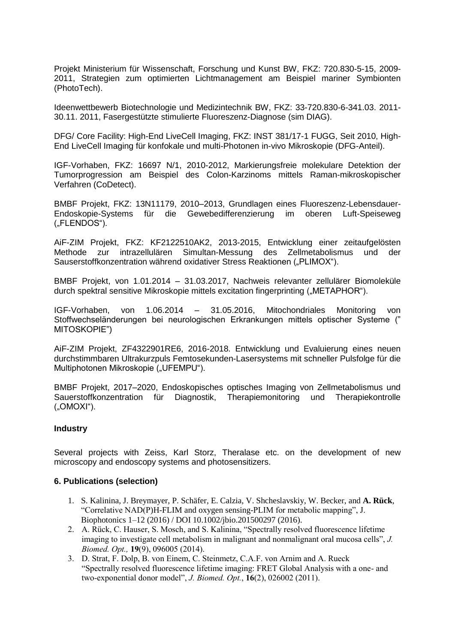Projekt Ministerium für Wissenschaft, Forschung und Kunst BW, FKZ: 720.830-5-15, 2009- 2011, Strategien zum optimierten Lichtmanagement am Beispiel mariner Symbionten (PhotoTech).

Ideenwettbewerb Biotechnologie und Medizintechnik BW, FKZ: 33-720.830-6-341.03. 2011- 30.11. 2011, Fasergestützte stimulierte Fluoreszenz-Diagnose (sim DIAG).

DFG/ Core Facility: High-End LiveCell Imaging, FKZ: INST 381/17-1 FUGG, Seit 2010, High-End LiveCell Imaging für konfokale und multi-Photonen in-vivo Mikroskopie (DFG-Anteil).

IGF-Vorhaben, FKZ: 16697 N/1, 2010-2012, Markierungsfreie molekulare Detektion der Tumorprogression am Beispiel des Colon-Karzinoms mittels Raman-mikroskopischer Verfahren (CoDetect).

BMBF Projekt, FKZ: 13N11179, 2010–2013, Grundlagen eines Fluoreszenz-Lebensdauer-Endoskopie-Systems für die Gewebedifferenzierung im oberen Luft-Speiseweg ("FLENDOS").

AiF-ZIM Projekt, FKZ: KF2122510AK2, 2013-2015, Entwicklung einer zeitaufgelösten Methode zur intrazellulären Simultan-Messung des Zellmetabolismus und der Sauserstoffkonzentration während oxidativer Stress Reaktionen ("PLIMOX").

BMBF Projekt, von 1.01.2014 – 31.03.2017, Nachweis relevanter zellulärer Biomoleküle durch spektral sensitive Mikroskopie mittels excitation fingerprinting ("METAPHOR").

IGF-Vorhaben, von 1.06.2014 – 31.05.2016, Mitochondriales Monitoring von Stoffwechseländerungen bei neurologischen Erkrankungen mittels optischer Systeme (" MITOSKOPIE")

AiF-ZIM Projekt, ZF4322901RE6, 2016-2018. Entwicklung und Evaluierung eines neuen durchstimmbaren Ultrakurzpuls Femtosekunden-Lasersystems mit schneller Pulsfolge für die Multiphotonen Mikroskopie ("UFEMPU").

BMBF Projekt, 2017–2020, Endoskopisches optisches Imaging von Zellmetabolismus und Sauerstoffkonzentration für Diagnostik, Therapiemonitoring und Therapiekontrolle  $($ "OMOXI" $)$ .

#### **Industry**

Several projects with Zeiss, Karl Storz, Theralase etc. on the development of new microscopy and endoscopy systems and photosensitizers.

#### **6. Publications (selection)**

- 1. S. Kalinina, J. Breymayer, P. Schäfer, E. Calzia, V. Shcheslavskiy, W. Becker, and **A. Rück**, "Correlative NAD(P)H-FLIM and oxygen sensing-PLIM for metabolic mapping", J. Biophotonics 1–12 (2016) / DOI 10.1002/jbio.201500297 (2016).
- 2. A. Rück, C. Hauser, S. Mosch, and S. Kalinina, "Spectrally resolved fluorescence lifetime imaging to investigate cell metabolism in malignant and nonmalignant oral mucosa cells", *J. Biomed. Opt.,* **19**(9), 096005 (2014).
- 3. D. Strat, F. Dolp, B. von Einem, C. Steinmetz, C.A.F. von Arnim and A. Rueck "Spectrally resolved fluorescence lifetime imaging: FRET Global Analysis with a one- and two-exponential donor model", *J. Biomed. Opt.*, **16**(2), 026002 (2011).